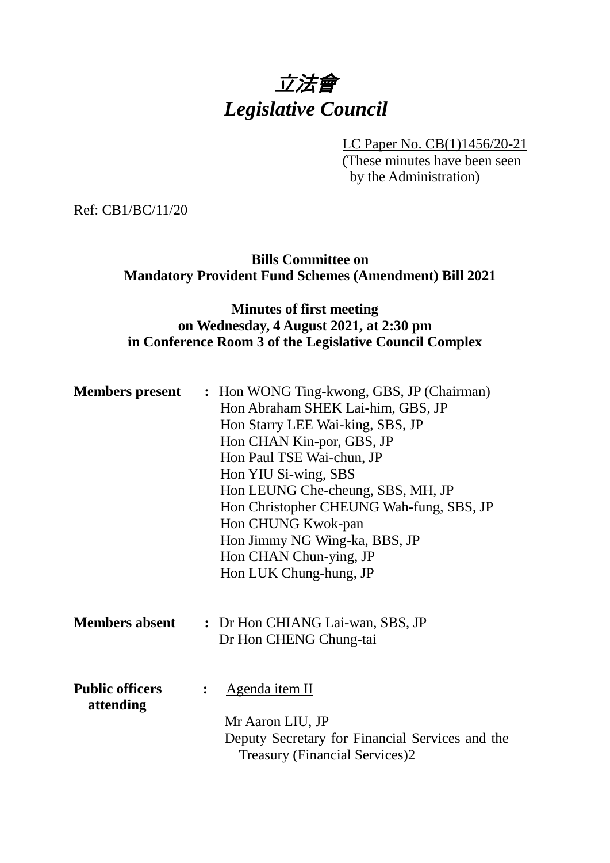# 立法會 *Legislative Council*

LC Paper No. CB(1)1456/20-21

(These minutes have been seen by the Administration)

Ref: CB1/BC/11/20

**Bills Committee on Mandatory Provident Fund Schemes (Amendment) Bill 2021**

## **Minutes of first meeting on Wednesday, 4 August 2021, at 2:30 pm in Conference Room 3 of the Legislative Council Complex**

| <b>Members</b> present              |                | : Hon WONG Ting-kwong, GBS, JP (Chairman)<br>Hon Abraham SHEK Lai-him, GBS, JP<br>Hon Starry LEE Wai-king, SBS, JP<br>Hon CHAN Kin-por, GBS, JP<br>Hon Paul TSE Wai-chun, JP<br>Hon YIU Si-wing, SBS<br>Hon LEUNG Che-cheung, SBS, MH, JP<br>Hon Christopher CHEUNG Wah-fung, SBS, JP<br>Hon CHUNG Kwok-pan<br>Hon Jimmy NG Wing-ka, BBS, JP<br>Hon CHAN Chun-ying, JP<br>Hon LUK Chung-hung, JP |
|-------------------------------------|----------------|--------------------------------------------------------------------------------------------------------------------------------------------------------------------------------------------------------------------------------------------------------------------------------------------------------------------------------------------------------------------------------------------------|
| <b>Members absent</b>               |                | : Dr Hon CHIANG Lai-wan, SBS, JP<br>Dr Hon CHENG Chung-tai                                                                                                                                                                                                                                                                                                                                       |
| <b>Public officers</b><br>attending | $\ddot{\cdot}$ | <u>Agenda item II</u><br>Mr Aaron LIU, JP<br>Deputy Secretary for Financial Services and the<br><b>Treasury (Financial Services)2</b>                                                                                                                                                                                                                                                            |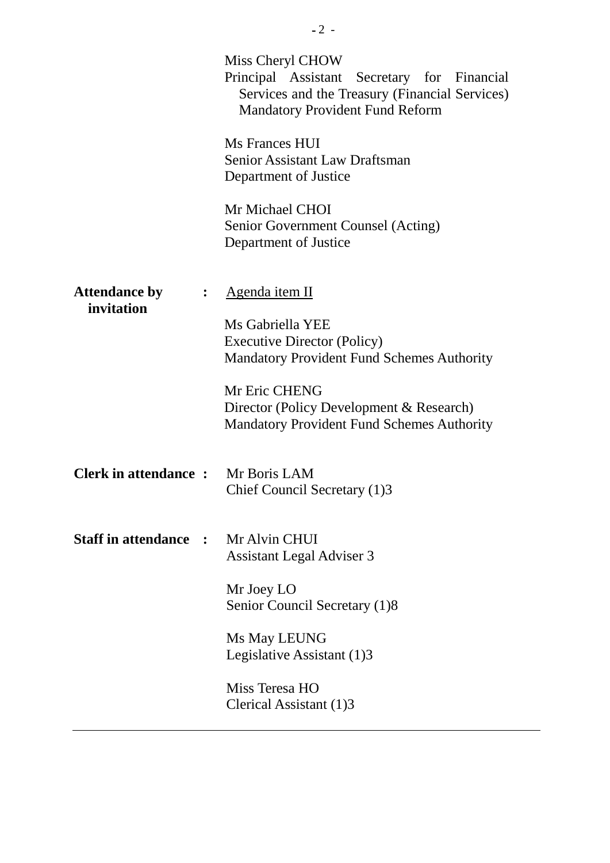|                                    |                | Miss Cheryl CHOW<br>Principal Assistant Secretary for Financial<br>Services and the Treasury (Financial Services)<br><b>Mandatory Provident Fund Reform</b>                                                                                     |
|------------------------------------|----------------|-------------------------------------------------------------------------------------------------------------------------------------------------------------------------------------------------------------------------------------------------|
|                                    |                | Ms Frances HUI<br><b>Senior Assistant Law Draftsman</b><br>Department of Justice                                                                                                                                                                |
|                                    |                | Mr Michael CHOI<br>Senior Government Counsel (Acting)<br>Department of Justice                                                                                                                                                                  |
| <b>Attendance by</b><br>invitation | $\ddot{\cdot}$ | Agenda item II<br>Ms Gabriella YEE<br><b>Executive Director (Policy)</b><br><b>Mandatory Provident Fund Schemes Authority</b><br>Mr Eric CHENG<br>Director (Policy Development & Research)<br><b>Mandatory Provident Fund Schemes Authority</b> |
| <b>Clerk in attendance:</b>        |                | Mr Boris LAM<br>Chief Council Secretary (1)3                                                                                                                                                                                                    |
| <b>Staff in attendance :</b>       |                | Mr Alvin CHUI<br><b>Assistant Legal Adviser 3</b>                                                                                                                                                                                               |
|                                    |                | Mr Joey LO<br>Senior Council Secretary (1)8                                                                                                                                                                                                     |
|                                    |                | Ms May LEUNG<br>Legislative Assistant (1)3                                                                                                                                                                                                      |
|                                    |                | Miss Teresa HO<br>Clerical Assistant (1)3                                                                                                                                                                                                       |
|                                    |                |                                                                                                                                                                                                                                                 |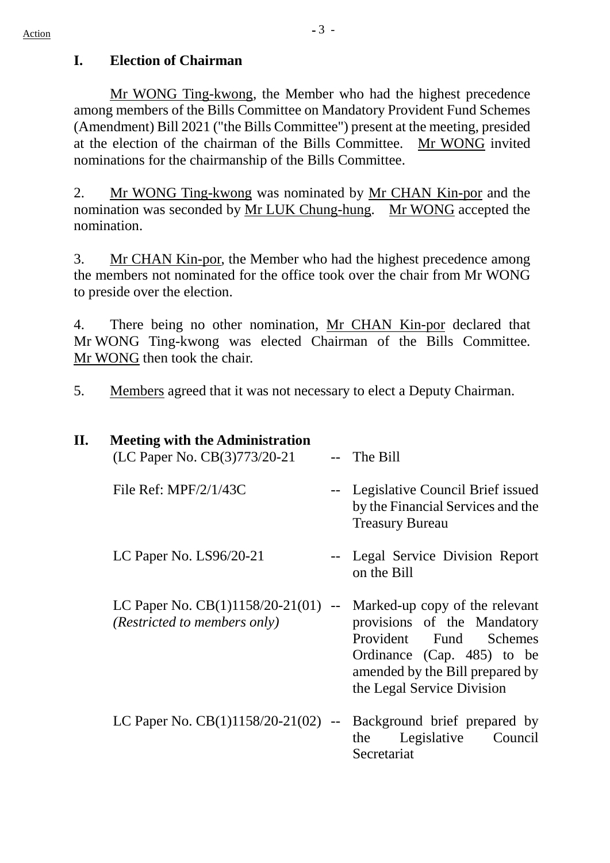## **I. Election of Chairman**

Mr WONG Ting-kwong, the Member who had the highest precedence among members of the Bills Committee on Mandatory Provident Fund Schemes (Amendment) Bill 2021 ("the Bills Committee") present at the meeting, presided at the election of the chairman of the Bills Committee. Mr WONG invited nominations for the chairmanship of the Bills Committee.

2. Mr WONG Ting-kwong was nominated by Mr CHAN Kin-por and the nomination was seconded by Mr LUK Chung-hung. Mr WONG accepted the nomination.

3. Mr CHAN Kin-por, the Member who had the highest precedence among the members not nominated for the office took over the chair from Mr WONG to preside over the election.

4. There being no other nomination, Mr CHAN Kin-por declared that Mr WONG Ting-kwong was elected Chairman of the Bills Committee. Mr WONG then took the chair.

5. Members agreed that it was not necessary to elect a Deputy Chairman.

| П. | <b>Meeting with the Administration</b><br>(LC Paper No. CB(3)773/20-21 | The Bill                                                                                                                                                                                         |
|----|------------------------------------------------------------------------|--------------------------------------------------------------------------------------------------------------------------------------------------------------------------------------------------|
|    | File Ref: $MPF/2/1/43C$                                                | -- Legislative Council Brief issued<br>by the Financial Services and the<br><b>Treasury Bureau</b>                                                                                               |
|    | LC Paper No. $LS96/20-21$                                              | -- Legal Service Division Report<br>on the Bill                                                                                                                                                  |
|    | LC Paper No. $CB(1)1158/20-21(01)$ --<br>(Restricted to members only)  | Marked-up copy of the relevant<br>provisions of the Mandatory<br>Provident Fund<br><b>Schemes</b><br>Ordinance (Cap. 485) to be<br>amended by the Bill prepared by<br>the Legal Service Division |
|    | LC Paper No. $CB(1)1158/20-21(02)$ --                                  | Background brief prepared by<br>Legislative<br>the<br>Council<br>Secretariat                                                                                                                     |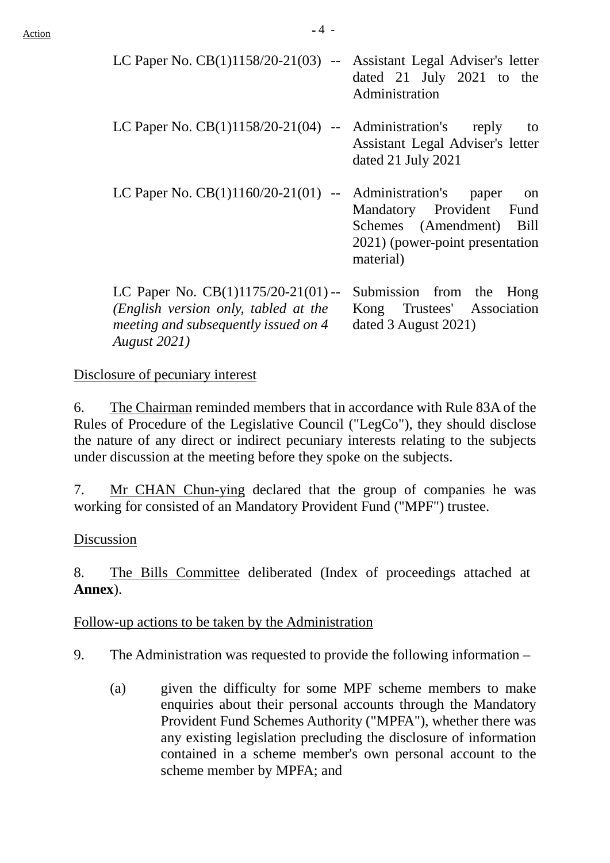| LC Paper No. $CB(1)1158/20-21(03)$ -- Assistant Legal Adviser's letter                                                                       | dated 21 July 2021 to the<br>Administration                                                                                                        |
|----------------------------------------------------------------------------------------------------------------------------------------------|----------------------------------------------------------------------------------------------------------------------------------------------------|
| LC Paper No. $CB(1)1158/20-21(04)$ -- Administration's reply                                                                                 | to<br>Assistant Legal Adviser's letter<br>dated 21 July 2021                                                                                       |
| LC Paper No. $CB(1)1160/20-21(01)$ --                                                                                                        | Administration's<br>paper<br><sub>on</sub><br>Mandatory Provident Fund<br>Schemes (Amendment) Bill<br>2021) (power-point presentation<br>material) |
| LC Paper No. $CB(1)1175/20-21(01)$ --<br>(English version only, tabled at the<br>meeting and subsequently issued on 4<br><b>August</b> 2021) | Submission from the Hong<br>Kong Trustees' Association<br>dated 3 August 2021)                                                                     |

### Disclosure of pecuniary interest

6. The Chairman reminded members that in accordance with Rule 83A of the Rules of Procedure of the Legislative Council ("LegCo"), they should disclose the nature of any direct or indirect pecuniary interests relating to the subjects under discussion at the meeting before they spoke on the subjects.

7. Mr CHAN Chun-ying declared that the group of companies he was working for consisted of an Mandatory Provident Fund ("MPF") trustee.

#### Discussion

8. The Bills Committee deliberated (Index of proceedings attached at **Annex**).

#### Follow-up actions to be taken by the Administration

- 9. The Administration was requested to provide the following information
	- (a) given the difficulty for some MPF scheme members to make enquiries about their personal accounts through the Mandatory Provident Fund Schemes Authority ("MPFA"), whether there was any existing legislation precluding the disclosure of information contained in a scheme member's own personal account to the scheme member by MPFA; and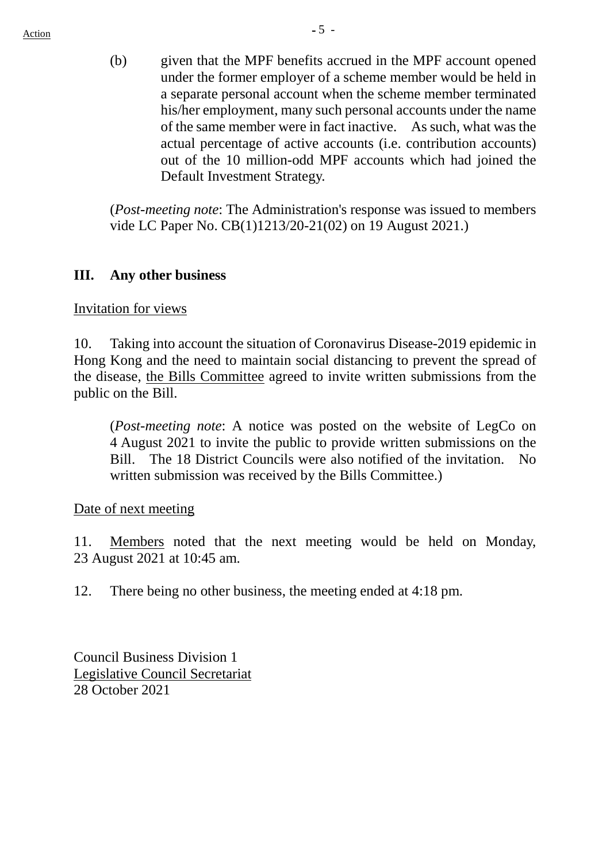(b) given that the MPF benefits accrued in the MPF account opened under the former employer of a scheme member would be held in a separate personal account when the scheme member terminated his/her employment, many such personal accounts under the name of the same member were in fact inactive. As such, what was the actual percentage of active accounts (i.e. contribution accounts) out of the 10 million-odd MPF accounts which had joined the Default Investment Strategy.

(*Post-meeting note*: The Administration's response was issued to members vide LC Paper No. CB(1)1213/20-21(02) on 19 August 2021.)

## **III. Any other business**

Invitation for views

10. Taking into account the situation of Coronavirus Disease-2019 epidemic in Hong Kong and the need to maintain social distancing to prevent the spread of the disease, the Bills Committee agreed to invite written submissions from the public on the Bill.

(*Post-meeting note*: A notice was posted on the website of LegCo on 4 August 2021 to invite the public to provide written submissions on the Bill. The 18 District Councils were also notified of the invitation. No written submission was received by the Bills Committee.)

Date of next meeting

11. Members noted that the next meeting would be held on Monday, 23 August 2021 at 10:45 am.

12. There being no other business, the meeting ended at 4:18 pm.

Council Business Division 1 Legislative Council Secretariat 28 October 2021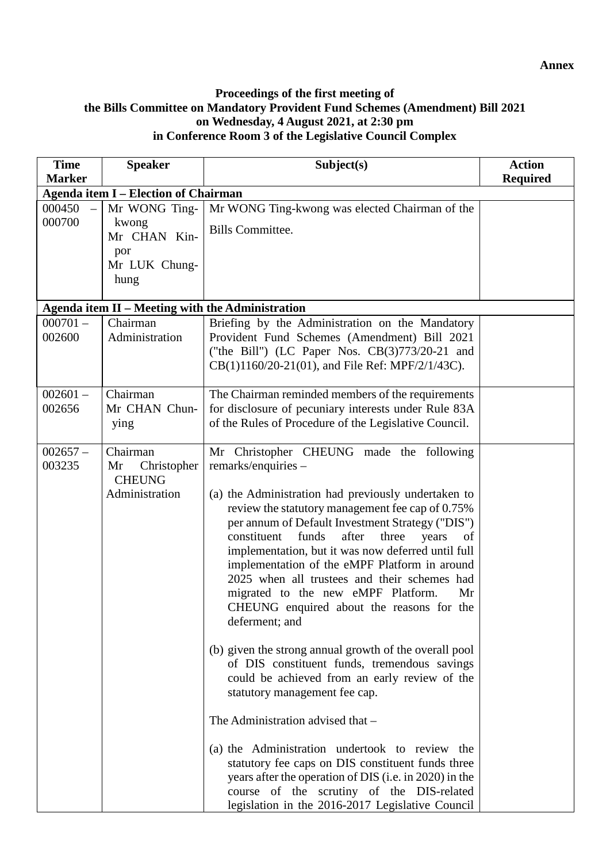#### **Proceedings of the first meeting of the Bills Committee on Mandatory Provident Fund Schemes (Amendment) Bill 2021 on Wednesday, 4 August 2021, at 2:30 pm in Conference Room 3 of the Legislative Council Complex**

| <b>Time</b>          | <b>Speaker</b>                                                   | Subject(s)                                                                                                                                                                                                                                                                                                                                                                                                                                                                                                                                                                                                                                                                                                                                                                                                                                                                                                                                                                                                                                                    | <b>Action</b>   |
|----------------------|------------------------------------------------------------------|---------------------------------------------------------------------------------------------------------------------------------------------------------------------------------------------------------------------------------------------------------------------------------------------------------------------------------------------------------------------------------------------------------------------------------------------------------------------------------------------------------------------------------------------------------------------------------------------------------------------------------------------------------------------------------------------------------------------------------------------------------------------------------------------------------------------------------------------------------------------------------------------------------------------------------------------------------------------------------------------------------------------------------------------------------------|-----------------|
| <b>Marker</b>        |                                                                  |                                                                                                                                                                                                                                                                                                                                                                                                                                                                                                                                                                                                                                                                                                                                                                                                                                                                                                                                                                                                                                                               | <b>Required</b> |
|                      | <b>Agenda item I - Election of Chairman</b>                      |                                                                                                                                                                                                                                                                                                                                                                                                                                                                                                                                                                                                                                                                                                                                                                                                                                                                                                                                                                                                                                                               |                 |
| 000450<br>000700     | Mr WONG Ting-<br>kwong<br>Mr CHAN Kin-                           | Mr WONG Ting-kwong was elected Chairman of the<br><b>Bills Committee.</b>                                                                                                                                                                                                                                                                                                                                                                                                                                                                                                                                                                                                                                                                                                                                                                                                                                                                                                                                                                                     |                 |
|                      | por<br>Mr LUK Chung-<br>hung                                     |                                                                                                                                                                                                                                                                                                                                                                                                                                                                                                                                                                                                                                                                                                                                                                                                                                                                                                                                                                                                                                                               |                 |
|                      |                                                                  | Agenda item II - Meeting with the Administration                                                                                                                                                                                                                                                                                                                                                                                                                                                                                                                                                                                                                                                                                                                                                                                                                                                                                                                                                                                                              |                 |
| $000701 -$<br>002600 | Chairman<br>Administration                                       | Briefing by the Administration on the Mandatory<br>Provident Fund Schemes (Amendment) Bill 2021<br>("the Bill") (LC Paper Nos. CB(3)773/20-21 and<br>CB(1)1160/20-21(01), and File Ref: MPF/2/1/43C).                                                                                                                                                                                                                                                                                                                                                                                                                                                                                                                                                                                                                                                                                                                                                                                                                                                         |                 |
| $002601 -$<br>002656 | Chairman<br>Mr CHAN Chun-<br>ying                                | The Chairman reminded members of the requirements<br>for disclosure of pecuniary interests under Rule 83A<br>of the Rules of Procedure of the Legislative Council.                                                                                                                                                                                                                                                                                                                                                                                                                                                                                                                                                                                                                                                                                                                                                                                                                                                                                            |                 |
| $002657 -$<br>003235 | Chairman<br>Mr<br>Christopher<br><b>CHEUNG</b><br>Administration | Mr Christopher CHEUNG made the following<br>$remarks/enquires -$<br>(a) the Administration had previously undertaken to<br>review the statutory management fee cap of 0.75%<br>per annum of Default Investment Strategy ("DIS")<br>after<br>constituent<br>funds<br>three<br>years<br>of<br>implementation, but it was now deferred until full<br>implementation of the eMPF Platform in around<br>2025 when all trustees and their schemes had<br>migrated to the new eMPF Platform.<br>Mr<br>CHEUNG enquired about the reasons for the<br>deferment; and<br>(b) given the strong annual growth of the overall pool<br>of DIS constituent funds, tremendous savings<br>could be achieved from an early review of the<br>statutory management fee cap.<br>The Administration advised that -<br>(a) the Administration undertook to review the<br>statutory fee caps on DIS constituent funds three<br>years after the operation of DIS (i.e. in 2020) in the<br>course of the scrutiny of the DIS-related<br>legislation in the 2016-2017 Legislative Council |                 |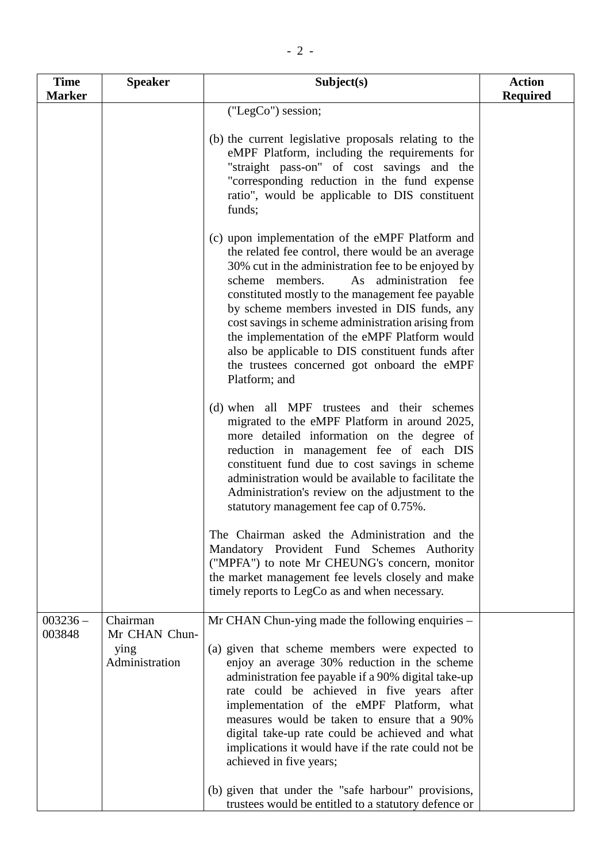| <b>Time</b>          | <b>Speaker</b>                                      | Subject(s)                                                                                                                                                                                                                                                                                                                                                                                                                                                                                                                                                                                               | <b>Action</b>   |
|----------------------|-----------------------------------------------------|----------------------------------------------------------------------------------------------------------------------------------------------------------------------------------------------------------------------------------------------------------------------------------------------------------------------------------------------------------------------------------------------------------------------------------------------------------------------------------------------------------------------------------------------------------------------------------------------------------|-----------------|
| <b>Marker</b>        |                                                     |                                                                                                                                                                                                                                                                                                                                                                                                                                                                                                                                                                                                          | <b>Required</b> |
|                      |                                                     | ("LegCo") session;<br>(b) the current legislative proposals relating to the<br>eMPF Platform, including the requirements for<br>"straight pass-on" of cost savings and the<br>"corresponding reduction in the fund expense<br>ratio", would be applicable to DIS constituent<br>funds;<br>(c) upon implementation of the eMPF Platform and                                                                                                                                                                                                                                                               |                 |
|                      |                                                     | the related fee control, there would be an average<br>30% cut in the administration fee to be enjoyed by<br>scheme members.<br>As administration fee<br>constituted mostly to the management fee payable<br>by scheme members invested in DIS funds, any<br>cost savings in scheme administration arising from<br>the implementation of the eMPF Platform would<br>also be applicable to DIS constituent funds after<br>the trustees concerned got onboard the eMPF<br>Platform; and                                                                                                                     |                 |
|                      |                                                     | (d) when all MPF trustees and their schemes<br>migrated to the eMPF Platform in around 2025,<br>more detailed information on the degree of<br>reduction in management fee of each DIS<br>constituent fund due to cost savings in scheme<br>administration would be available to facilitate the<br>Administration's review on the adjustment to the<br>statutory management fee cap of 0.75%.                                                                                                                                                                                                             |                 |
|                      |                                                     | The Chairman asked the Administration and the<br>Mandatory Provident Fund Schemes Authority<br>("MPFA") to note Mr CHEUNG's concern, monitor<br>the market management fee levels closely and make<br>timely reports to LegCo as and when necessary.                                                                                                                                                                                                                                                                                                                                                      |                 |
| $003236 -$<br>003848 | Chairman<br>Mr CHAN Chun-<br>ying<br>Administration | Mr CHAN Chun-ying made the following enquiries -<br>(a) given that scheme members were expected to<br>enjoy an average 30% reduction in the scheme<br>administration fee payable if a 90% digital take-up<br>rate could be achieved in five years after<br>implementation of the eMPF Platform, what<br>measures would be taken to ensure that a 90%<br>digital take-up rate could be achieved and what<br>implications it would have if the rate could not be<br>achieved in five years;<br>(b) given that under the "safe harbour" provisions,<br>trustees would be entitled to a statutory defence or |                 |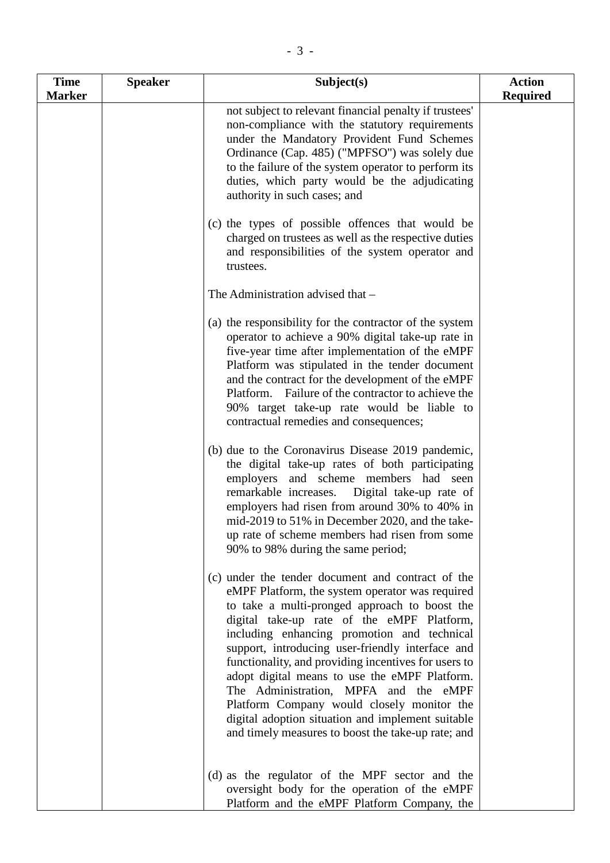| <b>Time</b><br><b>Marker</b> | <b>Speaker</b> | Subject(s)                                                                                                                                                                                                                                                                                                                                                                                                                                                                                                                                                                                                        | <b>Action</b><br><b>Required</b> |
|------------------------------|----------------|-------------------------------------------------------------------------------------------------------------------------------------------------------------------------------------------------------------------------------------------------------------------------------------------------------------------------------------------------------------------------------------------------------------------------------------------------------------------------------------------------------------------------------------------------------------------------------------------------------------------|----------------------------------|
|                              |                | not subject to relevant financial penalty if trustees'<br>non-compliance with the statutory requirements<br>under the Mandatory Provident Fund Schemes<br>Ordinance (Cap. 485) ("MPFSO") was solely due<br>to the failure of the system operator to perform its<br>duties, which party would be the adjudicating<br>authority in such cases; and                                                                                                                                                                                                                                                                  |                                  |
|                              |                | (c) the types of possible offences that would be<br>charged on trustees as well as the respective duties<br>and responsibilities of the system operator and<br>trustees.                                                                                                                                                                                                                                                                                                                                                                                                                                          |                                  |
|                              |                | The Administration advised that -                                                                                                                                                                                                                                                                                                                                                                                                                                                                                                                                                                                 |                                  |
|                              |                | (a) the responsibility for the contractor of the system<br>operator to achieve a 90% digital take-up rate in<br>five-year time after implementation of the eMPF<br>Platform was stipulated in the tender document<br>and the contract for the development of the eMPF<br>Platform. Failure of the contractor to achieve the<br>90% target take-up rate would be liable to<br>contractual remedies and consequences;                                                                                                                                                                                               |                                  |
|                              |                | (b) due to the Coronavirus Disease 2019 pandemic,<br>the digital take-up rates of both participating<br>employers and scheme members had seen<br>remarkable increases.<br>Digital take-up rate of<br>employers had risen from around 30% to 40% in<br>mid-2019 to 51% in December 2020, and the take-<br>up rate of scheme members had risen from some<br>90% to 98% during the same period;                                                                                                                                                                                                                      |                                  |
|                              |                | (c) under the tender document and contract of the<br>eMPF Platform, the system operator was required<br>to take a multi-pronged approach to boost the<br>digital take-up rate of the eMPF Platform,<br>including enhancing promotion and technical<br>support, introducing user-friendly interface and<br>functionality, and providing incentives for users to<br>adopt digital means to use the eMPF Platform.<br>The Administration, MPFA and the eMPF<br>Platform Company would closely monitor the<br>digital adoption situation and implement suitable<br>and timely measures to boost the take-up rate; and |                                  |
|                              |                | (d) as the regulator of the MPF sector and the<br>oversight body for the operation of the eMPF<br>Platform and the eMPF Platform Company, the                                                                                                                                                                                                                                                                                                                                                                                                                                                                     |                                  |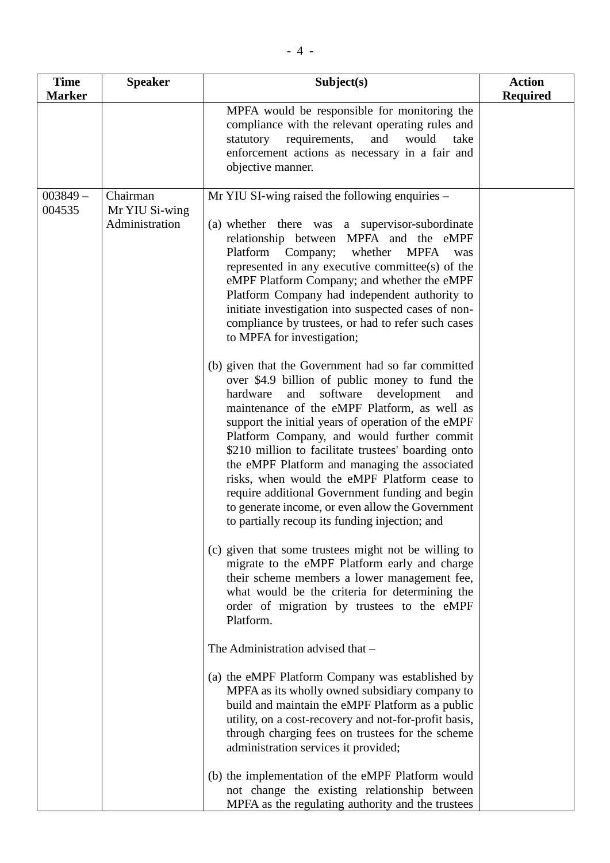| <b>Time</b><br><b>Marker</b> | <b>Speaker</b>                               | Subject(s)                                                                                                                                                                                                                                                                                                                                                                                                                                                                                                                                                                                                                     | <b>Action</b><br><b>Required</b> |
|------------------------------|----------------------------------------------|--------------------------------------------------------------------------------------------------------------------------------------------------------------------------------------------------------------------------------------------------------------------------------------------------------------------------------------------------------------------------------------------------------------------------------------------------------------------------------------------------------------------------------------------------------------------------------------------------------------------------------|----------------------------------|
|                              |                                              | MPFA would be responsible for monitoring the<br>compliance with the relevant operating rules and<br>requirements,<br>and<br>would<br>statutory<br>take<br>enforcement actions as necessary in a fair and<br>objective manner.                                                                                                                                                                                                                                                                                                                                                                                                  |                                  |
| $003849 -$<br>004535         | Chairman<br>Mr YIU Si-wing<br>Administration | Mr YIU SI-wing raised the following enquiries –<br>(a) whether there was a supervisor-subordinate<br>relationship between MPFA and the eMPF<br>Platform<br>Company;<br>whether<br><b>MPFA</b><br>was<br>represented in any executive committee(s) of the<br>eMPF Platform Company; and whether the eMPF<br>Platform Company had independent authority to<br>initiate investigation into suspected cases of non-<br>compliance by trustees, or had to refer such cases<br>to MPFA for investigation;                                                                                                                            |                                  |
|                              |                                              | (b) given that the Government had so far committed<br>over \$4.9 billion of public money to fund the<br>software<br>hardware<br>and<br>development<br>and<br>maintenance of the eMPF Platform, as well as<br>support the initial years of operation of the eMPF<br>Platform Company, and would further commit<br>\$210 million to facilitate trustees' boarding onto<br>the eMPF Platform and managing the associated<br>risks, when would the eMPF Platform cease to<br>require additional Government funding and begin<br>to generate income, or even allow the Government<br>to partially recoup its funding injection; and |                                  |
|                              |                                              | (c) given that some trustees might not be willing to<br>migrate to the eMPF Platform early and charge<br>their scheme members a lower management fee,<br>what would be the criteria for determining the<br>order of migration by trustees to the eMPF<br>Platform.                                                                                                                                                                                                                                                                                                                                                             |                                  |
|                              |                                              | The Administration advised that –                                                                                                                                                                                                                                                                                                                                                                                                                                                                                                                                                                                              |                                  |
|                              |                                              | (a) the eMPF Platform Company was established by<br>MPFA as its wholly owned subsidiary company to<br>build and maintain the eMPF Platform as a public<br>utility, on a cost-recovery and not-for-profit basis,<br>through charging fees on trustees for the scheme<br>administration services it provided;                                                                                                                                                                                                                                                                                                                    |                                  |
|                              |                                              | (b) the implementation of the eMPF Platform would<br>not change the existing relationship between<br>MPFA as the regulating authority and the trustees                                                                                                                                                                                                                                                                                                                                                                                                                                                                         |                                  |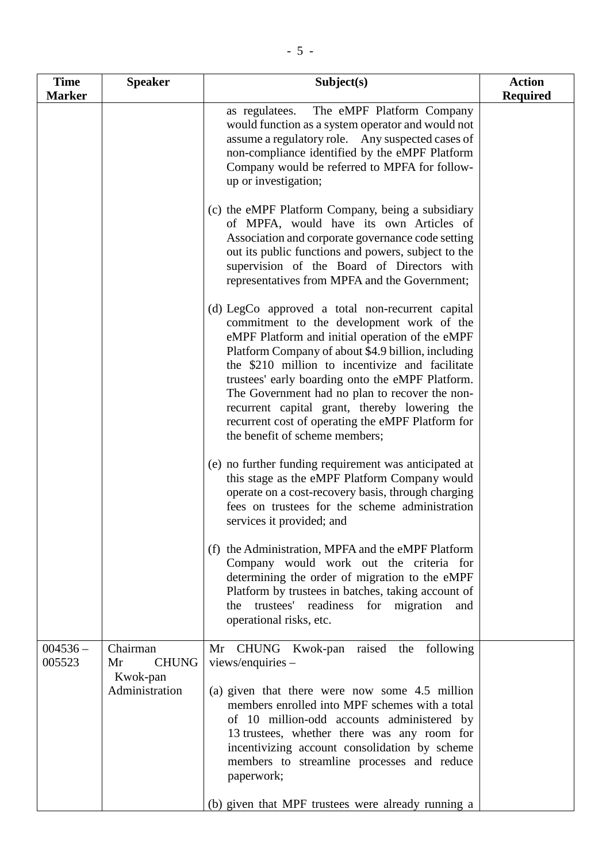| <b>Time</b>          | <b>Speaker</b>                                               | Subject(s)                                                                                                                                                                                                                                                                                                                                                                                                                                                                                              | <b>Action</b>   |
|----------------------|--------------------------------------------------------------|---------------------------------------------------------------------------------------------------------------------------------------------------------------------------------------------------------------------------------------------------------------------------------------------------------------------------------------------------------------------------------------------------------------------------------------------------------------------------------------------------------|-----------------|
| <b>Marker</b>        |                                                              |                                                                                                                                                                                                                                                                                                                                                                                                                                                                                                         | <b>Required</b> |
|                      |                                                              | The eMPF Platform Company<br>as regulatees.<br>would function as a system operator and would not<br>assume a regulatory role. Any suspected cases of<br>non-compliance identified by the eMPF Platform<br>Company would be referred to MPFA for follow-<br>up or investigation;                                                                                                                                                                                                                         |                 |
|                      |                                                              | (c) the eMPF Platform Company, being a subsidiary<br>of MPFA, would have its own Articles of<br>Association and corporate governance code setting<br>out its public functions and powers, subject to the<br>supervision of the Board of Directors with<br>representatives from MPFA and the Government;                                                                                                                                                                                                 |                 |
|                      |                                                              | (d) LegCo approved a total non-recurrent capital<br>commitment to the development work of the<br>eMPF Platform and initial operation of the eMPF<br>Platform Company of about \$4.9 billion, including<br>the \$210 million to incentivize and facilitate<br>trustees' early boarding onto the eMPF Platform.<br>The Government had no plan to recover the non-<br>recurrent capital grant, thereby lowering the<br>recurrent cost of operating the eMPF Platform for<br>the benefit of scheme members; |                 |
|                      |                                                              | (e) no further funding requirement was anticipated at<br>this stage as the eMPF Platform Company would<br>operate on a cost-recovery basis, through charging<br>fees on trustees for the scheme administration<br>services it provided; and                                                                                                                                                                                                                                                             |                 |
|                      |                                                              | (f) the Administration, MPFA and the eMPF Platform<br>Company would work out the criteria for<br>determining the order of migration to the eMPF<br>Platform by trustees in batches, taking account of<br>the trustees' readiness for migration<br>and<br>operational risks, etc.                                                                                                                                                                                                                        |                 |
| $004536 -$<br>005523 | Chairman<br><b>CHUNG</b><br>Mr<br>Kwok-pan<br>Administration | Mr CHUNG Kwok-pan raised the following<br>$views/enquires -$<br>(a) given that there were now some 4.5 million<br>members enrolled into MPF schemes with a total<br>of 10 million-odd accounts administered by<br>13 trustees, whether there was any room for<br>incentivizing account consolidation by scheme<br>members to streamline processes and reduce<br>paperwork;<br>(b) given that MPF trustees were already running a                                                                        |                 |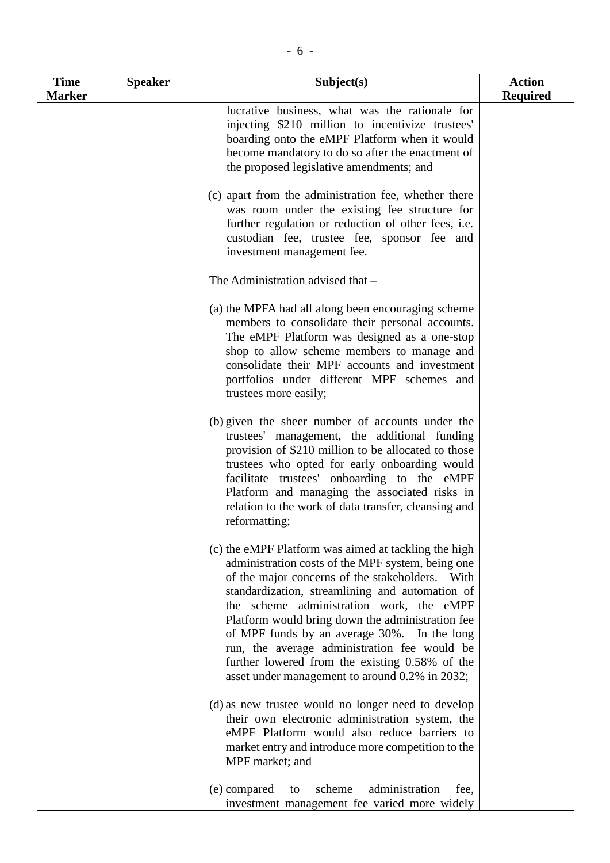| <b>Time</b>   | <b>Speaker</b> | Subject(s)                                                                                                                                                                                                                                                                                                                                                                                                                                                                                                         | <b>Action</b>   |
|---------------|----------------|--------------------------------------------------------------------------------------------------------------------------------------------------------------------------------------------------------------------------------------------------------------------------------------------------------------------------------------------------------------------------------------------------------------------------------------------------------------------------------------------------------------------|-----------------|
| <b>Marker</b> |                |                                                                                                                                                                                                                                                                                                                                                                                                                                                                                                                    | <b>Required</b> |
|               |                | lucrative business, what was the rationale for<br>injecting \$210 million to incentivize trustees'<br>boarding onto the eMPF Platform when it would<br>become mandatory to do so after the enactment of<br>the proposed legislative amendments; and                                                                                                                                                                                                                                                                |                 |
|               |                | (c) apart from the administration fee, whether there<br>was room under the existing fee structure for<br>further regulation or reduction of other fees, i.e.<br>custodian fee, trustee fee, sponsor fee and<br>investment management fee.                                                                                                                                                                                                                                                                          |                 |
|               |                | The Administration advised that -                                                                                                                                                                                                                                                                                                                                                                                                                                                                                  |                 |
|               |                | (a) the MPFA had all along been encouraging scheme<br>members to consolidate their personal accounts.<br>The eMPF Platform was designed as a one-stop<br>shop to allow scheme members to manage and<br>consolidate their MPF accounts and investment<br>portfolios under different MPF schemes and<br>trustees more easily;                                                                                                                                                                                        |                 |
|               |                | (b) given the sheer number of accounts under the<br>trustees' management, the additional funding<br>provision of \$210 million to be allocated to those<br>trustees who opted for early onboarding would<br>facilitate trustees' onboarding to the eMPF<br>Platform and managing the associated risks in<br>relation to the work of data transfer, cleansing and<br>reformatting;                                                                                                                                  |                 |
|               |                | (c) the eMPF Platform was aimed at tackling the high<br>administration costs of the MPF system, being one<br>of the major concerns of the stakeholders. With<br>standardization, streamlining and automation of<br>the scheme administration work, the eMPF<br>Platform would bring down the administration fee<br>of MPF funds by an average 30%. In the long<br>run, the average administration fee would be<br>further lowered from the existing 0.58% of the<br>asset under management to around 0.2% in 2032; |                 |
|               |                | (d) as new trustee would no longer need to develop<br>their own electronic administration system, the<br>eMPF Platform would also reduce barriers to<br>market entry and introduce more competition to the<br>MPF market; and                                                                                                                                                                                                                                                                                      |                 |
|               |                | (e) compared<br>scheme<br>administration<br>to<br>fee,<br>investment management fee varied more widely                                                                                                                                                                                                                                                                                                                                                                                                             |                 |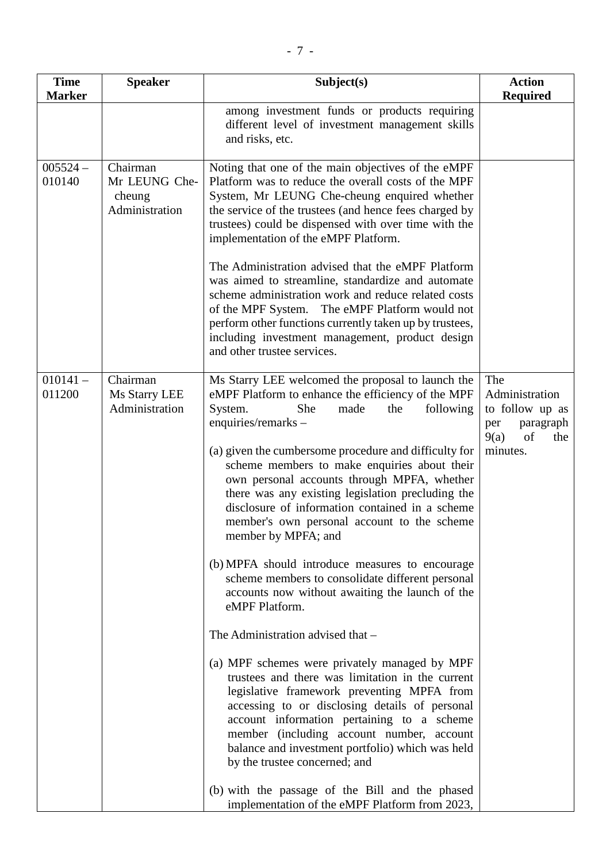| <b>Time</b><br><b>Marker</b> | <b>Speaker</b>                                        | Subject(s)                                                                                                                                                                                                                                                                                                                                                                                                                                                                                                                                                                                                                                                                                                                                                                                                                                                                                                                                                                                                                                                                                                                                                                                                                   | <b>Action</b><br><b>Required</b>                                                              |
|------------------------------|-------------------------------------------------------|------------------------------------------------------------------------------------------------------------------------------------------------------------------------------------------------------------------------------------------------------------------------------------------------------------------------------------------------------------------------------------------------------------------------------------------------------------------------------------------------------------------------------------------------------------------------------------------------------------------------------------------------------------------------------------------------------------------------------------------------------------------------------------------------------------------------------------------------------------------------------------------------------------------------------------------------------------------------------------------------------------------------------------------------------------------------------------------------------------------------------------------------------------------------------------------------------------------------------|-----------------------------------------------------------------------------------------------|
|                              |                                                       | among investment funds or products requiring<br>different level of investment management skills<br>and risks, etc.                                                                                                                                                                                                                                                                                                                                                                                                                                                                                                                                                                                                                                                                                                                                                                                                                                                                                                                                                                                                                                                                                                           |                                                                                               |
| $005524 -$<br>010140         | Chairman<br>Mr LEUNG Che-<br>cheung<br>Administration | Noting that one of the main objectives of the eMPF<br>Platform was to reduce the overall costs of the MPF<br>System, Mr LEUNG Che-cheung enquired whether<br>the service of the trustees (and hence fees charged by<br>trustees) could be dispensed with over time with the<br>implementation of the eMPF Platform.                                                                                                                                                                                                                                                                                                                                                                                                                                                                                                                                                                                                                                                                                                                                                                                                                                                                                                          |                                                                                               |
|                              |                                                       | The Administration advised that the eMPF Platform<br>was aimed to streamline, standardize and automate<br>scheme administration work and reduce related costs<br>of the MPF System. The eMPF Platform would not<br>perform other functions currently taken up by trustees,<br>including investment management, product design<br>and other trustee services.                                                                                                                                                                                                                                                                                                                                                                                                                                                                                                                                                                                                                                                                                                                                                                                                                                                                 |                                                                                               |
| $010141 -$<br>011200         | Chairman<br>Ms Starry LEE<br>Administration           | Ms Starry LEE welcomed the proposal to launch the<br>eMPF Platform to enhance the efficiency of the MPF<br>System.<br>She<br>following<br>made<br>the<br>enquiries/remarks-<br>(a) given the cumbersome procedure and difficulty for<br>scheme members to make enquiries about their<br>own personal accounts through MPFA, whether<br>there was any existing legislation precluding the<br>disclosure of information contained in a scheme<br>member's own personal account to the scheme<br>member by MPFA; and<br>(b) MPFA should introduce measures to encourage<br>scheme members to consolidate different personal<br>accounts now without awaiting the launch of the<br>eMPF Platform.<br>The Administration advised that -<br>(a) MPF schemes were privately managed by MPF<br>trustees and there was limitation in the current<br>legislative framework preventing MPFA from<br>accessing to or disclosing details of personal<br>account information pertaining to a scheme<br>member (including account number, account<br>balance and investment portfolio) which was held<br>by the trustee concerned; and<br>(b) with the passage of the Bill and the phased<br>implementation of the eMPF Platform from 2023, | The<br>Administration<br>to follow up as<br>paragraph<br>per<br>9(a)<br>of<br>the<br>minutes. |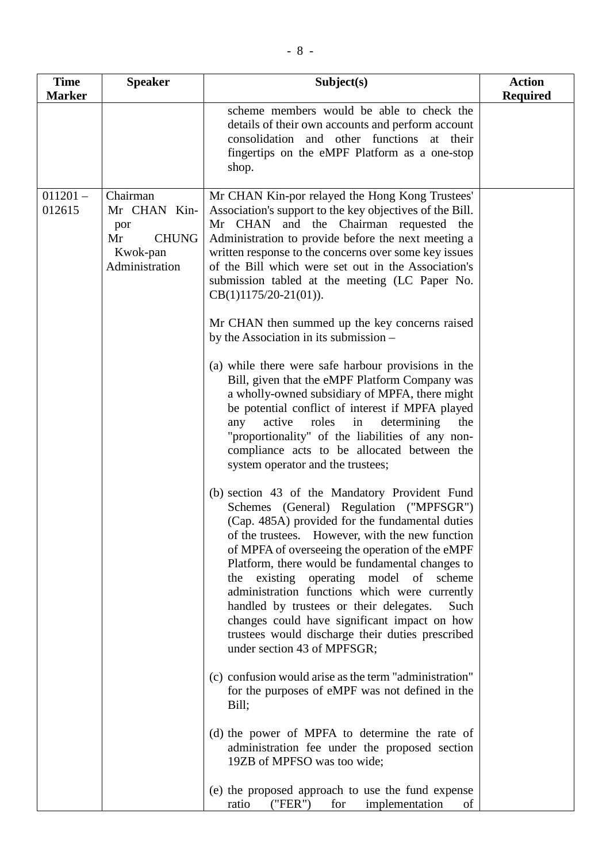| <b>Time</b>          | <b>Speaker</b>                                                                      | Subject(s)                                                                                                                                                                                                                                                                                                                                                                                                                                                                                                                                                                             | <b>Action</b>   |
|----------------------|-------------------------------------------------------------------------------------|----------------------------------------------------------------------------------------------------------------------------------------------------------------------------------------------------------------------------------------------------------------------------------------------------------------------------------------------------------------------------------------------------------------------------------------------------------------------------------------------------------------------------------------------------------------------------------------|-----------------|
| <b>Marker</b>        |                                                                                     | scheme members would be able to check the<br>details of their own accounts and perform account<br>consolidation and other functions at their<br>fingertips on the eMPF Platform as a one-stop<br>shop.                                                                                                                                                                                                                                                                                                                                                                                 | <b>Required</b> |
| $011201 -$<br>012615 | Chairman<br>Mr CHAN Kin-<br>por<br><b>CHUNG</b><br>Mr<br>Kwok-pan<br>Administration | Mr CHAN Kin-por relayed the Hong Kong Trustees'<br>Association's support to the key objectives of the Bill.<br>and the Chairman requested the<br>Mr CHAN<br>Administration to provide before the next meeting a<br>written response to the concerns over some key issues<br>of the Bill which were set out in the Association's<br>submission tabled at the meeting (LC Paper No.<br>$CB(1)1175/20-21(01)).$<br>Mr CHAN then summed up the key concerns raised                                                                                                                         |                 |
|                      |                                                                                     | by the Association in its submission –<br>(a) while there were safe harbour provisions in the<br>Bill, given that the eMPF Platform Company was<br>a wholly-owned subsidiary of MPFA, there might<br>be potential conflict of interest if MPFA played<br>active roles in<br>determining<br>any<br>the<br>"proportionality" of the liabilities of any non-<br>compliance acts to be allocated between the<br>system operator and the trustees;                                                                                                                                          |                 |
|                      |                                                                                     | (b) section 43 of the Mandatory Provident Fund<br>Schemes (General) Regulation ("MPFSGR")<br>(Cap. 485A) provided for the fundamental duties<br>of the trustees. However, with the new function<br>of MPFA of overseeing the operation of the eMPF<br>Platform, there would be fundamental changes to<br>the existing operating model of scheme<br>administration functions which were currently<br>handled by trustees or their delegates.<br>Such<br>changes could have significant impact on how<br>trustees would discharge their duties prescribed<br>under section 43 of MPFSGR; |                 |
|                      |                                                                                     | (c) confusion would arise as the term "administration"<br>for the purposes of eMPF was not defined in the<br>Bill;                                                                                                                                                                                                                                                                                                                                                                                                                                                                     |                 |
|                      |                                                                                     | (d) the power of MPFA to determine the rate of<br>administration fee under the proposed section<br>19ZB of MPFSO was too wide;                                                                                                                                                                                                                                                                                                                                                                                                                                                         |                 |
|                      |                                                                                     | (e) the proposed approach to use the fund expense<br>("FER")<br>ratio<br>implementation<br>for<br>of                                                                                                                                                                                                                                                                                                                                                                                                                                                                                   |                 |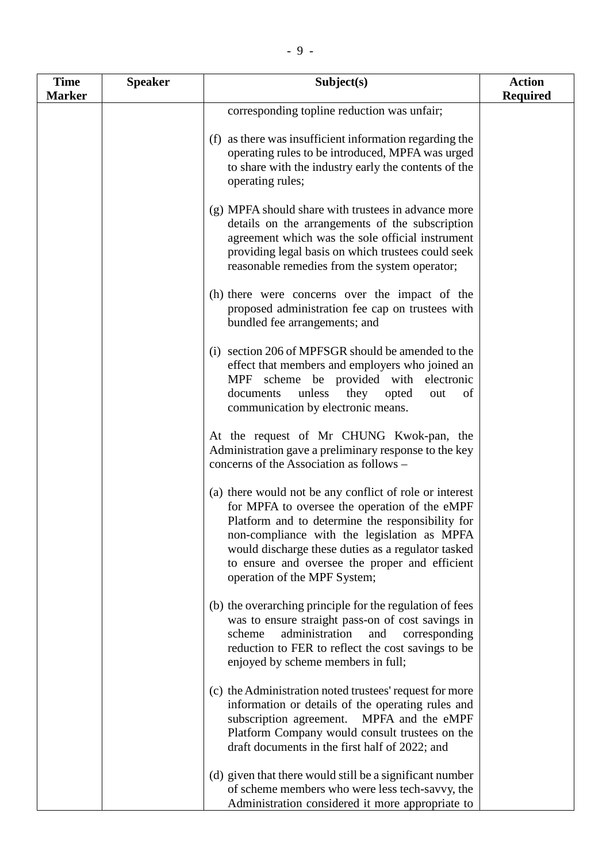| <b>Time</b>   | <b>Speaker</b> | Subject(s)                                                                                                                                                                                                                                                                                                                                          | <b>Action</b>   |
|---------------|----------------|-----------------------------------------------------------------------------------------------------------------------------------------------------------------------------------------------------------------------------------------------------------------------------------------------------------------------------------------------------|-----------------|
| <b>Marker</b> |                |                                                                                                                                                                                                                                                                                                                                                     | <b>Required</b> |
|               |                | corresponding topline reduction was unfair;                                                                                                                                                                                                                                                                                                         |                 |
|               |                | (f) as there was insufficient information regarding the<br>operating rules to be introduced, MPFA was urged<br>to share with the industry early the contents of the<br>operating rules;                                                                                                                                                             |                 |
|               |                | (g) MPFA should share with trustees in advance more<br>details on the arrangements of the subscription<br>agreement which was the sole official instrument<br>providing legal basis on which trustees could seek<br>reasonable remedies from the system operator;                                                                                   |                 |
|               |                | (h) there were concerns over the impact of the<br>proposed administration fee cap on trustees with<br>bundled fee arrangements; and                                                                                                                                                                                                                 |                 |
|               |                | (i) section 206 of MPFSGR should be amended to the<br>effect that members and employers who joined an<br>MPF scheme be provided with electronic<br>unless<br>they<br>documents<br>opted<br>out<br>of<br>communication by electronic means.                                                                                                          |                 |
|               |                | At the request of Mr CHUNG Kwok-pan, the<br>Administration gave a preliminary response to the key<br>concerns of the Association as follows –                                                                                                                                                                                                       |                 |
|               |                | (a) there would not be any conflict of role or interest<br>for MPFA to oversee the operation of the eMPF<br>Platform and to determine the responsibility for<br>non-compliance with the legislation as MPFA<br>would discharge these duties as a regulator tasked<br>to ensure and oversee the proper and efficient<br>operation of the MPF System; |                 |
|               |                | (b) the overarching principle for the regulation of fees<br>was to ensure straight pass-on of cost savings in<br>administration<br>and<br>scheme<br>corresponding<br>reduction to FER to reflect the cost savings to be<br>enjoyed by scheme members in full;                                                                                       |                 |
|               |                | (c) the Administration noted trustees' request for more<br>information or details of the operating rules and<br>MPFA and the eMPF<br>subscription agreement.<br>Platform Company would consult trustees on the<br>draft documents in the first half of 2022; and                                                                                    |                 |
|               |                | (d) given that there would still be a significant number<br>of scheme members who were less tech-savvy, the<br>Administration considered it more appropriate to                                                                                                                                                                                     |                 |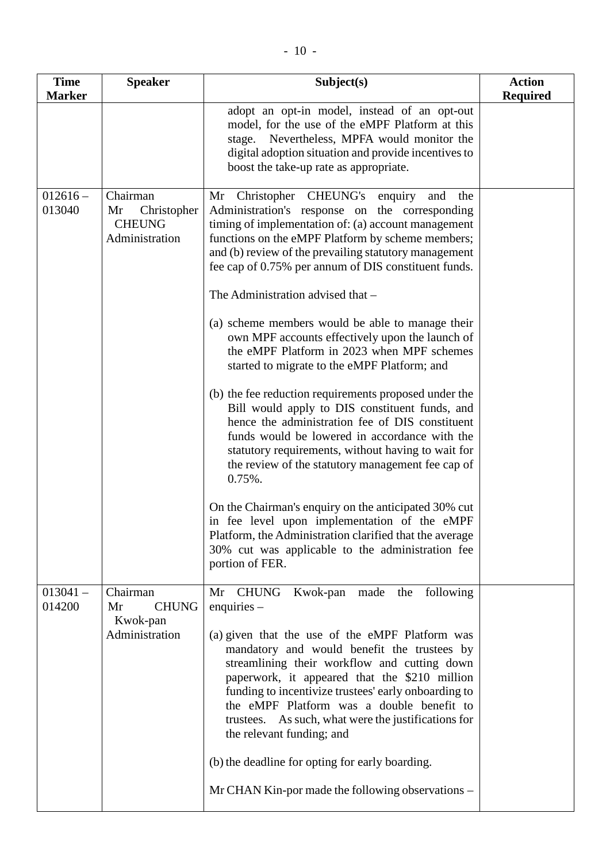| <b>Time</b>          | <b>Speaker</b>                                                   | Subject(s)                                                                                                                                                                                                                                                                                                                                                                               | <b>Action</b>   |
|----------------------|------------------------------------------------------------------|------------------------------------------------------------------------------------------------------------------------------------------------------------------------------------------------------------------------------------------------------------------------------------------------------------------------------------------------------------------------------------------|-----------------|
| <b>Marker</b>        |                                                                  |                                                                                                                                                                                                                                                                                                                                                                                          | <b>Required</b> |
|                      |                                                                  | adopt an opt-in model, instead of an opt-out<br>model, for the use of the eMPF Platform at this<br>stage. Nevertheless, MPFA would monitor the<br>digital adoption situation and provide incentives to<br>boost the take-up rate as appropriate.                                                                                                                                         |                 |
| $012616 -$<br>013040 | Chairman<br>Christopher<br>Mr<br><b>CHEUNG</b><br>Administration | Mr Christopher CHEUNG's enquiry<br>and<br>the<br>Administration's response on the corresponding<br>timing of implementation of: (a) account management<br>functions on the eMPF Platform by scheme members;<br>and (b) review of the prevailing statutory management<br>fee cap of 0.75% per annum of DIS constituent funds.<br>The Administration advised that -                        |                 |
|                      |                                                                  | (a) scheme members would be able to manage their<br>own MPF accounts effectively upon the launch of<br>the eMPF Platform in 2023 when MPF schemes<br>started to migrate to the eMPF Platform; and                                                                                                                                                                                        |                 |
|                      |                                                                  | (b) the fee reduction requirements proposed under the<br>Bill would apply to DIS constituent funds, and<br>hence the administration fee of DIS constituent<br>funds would be lowered in accordance with the<br>statutory requirements, without having to wait for<br>the review of the statutory management fee cap of<br>$0.75%$ .                                                      |                 |
|                      |                                                                  | On the Chairman's enquiry on the anticipated 30% cut<br>in fee level upon implementation of the eMPF<br>Platform, the Administration clarified that the average<br>30% cut was applicable to the administration fee<br>portion of FER.                                                                                                                                                   |                 |
| $013041 -$<br>014200 | Chairman<br><b>CHUNG</b><br>Mr<br>Kwok-pan                       | Mr CHUNG<br>Kwok-pan made the following<br>enquiries $-$                                                                                                                                                                                                                                                                                                                                 |                 |
|                      | Administration                                                   | (a) given that the use of the eMPF Platform was<br>mandatory and would benefit the trustees by<br>streamlining their workflow and cutting down<br>paperwork, it appeared that the \$210 million<br>funding to incentivize trustees' early onboarding to<br>the eMPF Platform was a double benefit to<br>trustees. As such, what were the justifications for<br>the relevant funding; and |                 |
|                      |                                                                  | (b) the deadline for opting for early boarding.                                                                                                                                                                                                                                                                                                                                          |                 |
|                      |                                                                  | Mr CHAN Kin-por made the following observations –                                                                                                                                                                                                                                                                                                                                        |                 |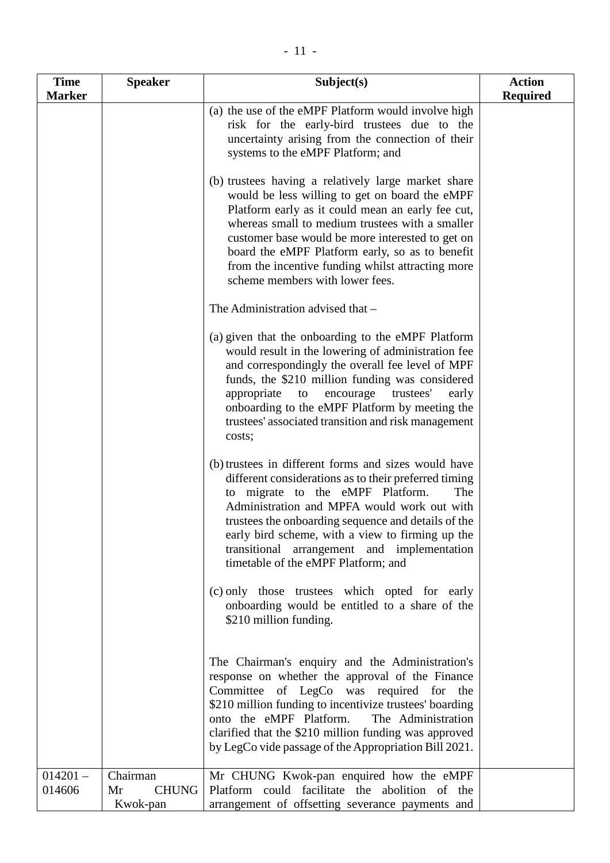| <b>Time</b>          | <b>Speaker</b>                             | Subject(s)                                                                                                                                                                                                                                                                                                                                                                                                                                                   | <b>Action</b>   |
|----------------------|--------------------------------------------|--------------------------------------------------------------------------------------------------------------------------------------------------------------------------------------------------------------------------------------------------------------------------------------------------------------------------------------------------------------------------------------------------------------------------------------------------------------|-----------------|
| <b>Marker</b>        |                                            |                                                                                                                                                                                                                                                                                                                                                                                                                                                              | <b>Required</b> |
|                      |                                            | (a) the use of the eMPF Platform would involve high<br>risk for the early-bird trustees due to the<br>uncertainty arising from the connection of their<br>systems to the eMPF Platform; and                                                                                                                                                                                                                                                                  |                 |
|                      |                                            | (b) trustees having a relatively large market share<br>would be less willing to get on board the eMPF<br>Platform early as it could mean an early fee cut,<br>whereas small to medium trustees with a smaller<br>customer base would be more interested to get on<br>board the eMPF Platform early, so as to benefit<br>from the incentive funding whilst attracting more<br>scheme members with lower fees.                                                 |                 |
|                      |                                            | The Administration advised that -                                                                                                                                                                                                                                                                                                                                                                                                                            |                 |
|                      |                                            | (a) given that the onboarding to the eMPF Platform<br>would result in the lowering of administration fee<br>and correspondingly the overall fee level of MPF<br>funds, the \$210 million funding was considered<br>trustees'<br>appropriate<br>encourage<br>to<br>early<br>onboarding to the eMPF Platform by meeting the<br>trustees' associated transition and risk management<br>costs;                                                                   |                 |
|                      |                                            | (b) trustees in different forms and sizes would have<br>different considerations as to their preferred timing<br>to migrate to the eMPF Platform.<br>The<br>Administration and MPFA would work out with<br>trustees the onboarding sequence and details of the<br>early bird scheme, with a view to firming up the<br>transitional<br>arrangement and implementation<br>timetable of the eMPF Platform; and<br>(c) only those trustees which opted for early |                 |
|                      |                                            | onboarding would be entitled to a share of the<br>\$210 million funding.                                                                                                                                                                                                                                                                                                                                                                                     |                 |
|                      |                                            | The Chairman's enquiry and the Administration's<br>response on whether the approval of the Finance<br>Committee of LegCo was required for the<br>\$210 million funding to incentivize trustees' boarding<br>onto the eMPF Platform.<br>The Administration<br>clarified that the \$210 million funding was approved<br>by LegCo vide passage of the Appropriation Bill 2021.                                                                                  |                 |
| $014201 -$<br>014606 | Chairman<br><b>CHUNG</b><br>Mr<br>Kwok-pan | Mr CHUNG Kwok-pan enquired how the eMPF<br>Platform could facilitate the abolition of the<br>arrangement of offsetting severance payments and                                                                                                                                                                                                                                                                                                                |                 |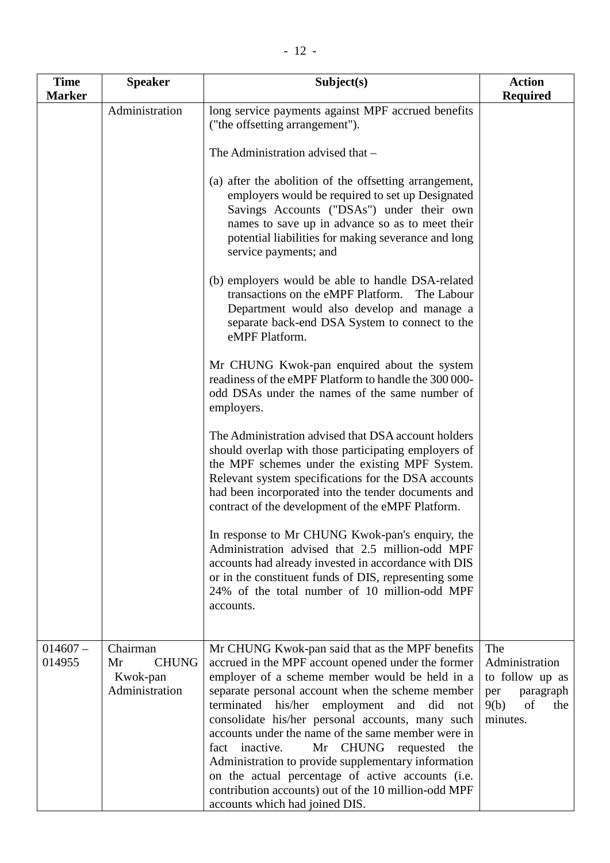| <b>Time</b><br><b>Marker</b> | <b>Speaker</b>                                               | Subject(s)                                                                                                                                                                                                                                                                                                                                                                                                                                                                                                                                                                                                                          | <b>Action</b><br><b>Required</b>                                                              |
|------------------------------|--------------------------------------------------------------|-------------------------------------------------------------------------------------------------------------------------------------------------------------------------------------------------------------------------------------------------------------------------------------------------------------------------------------------------------------------------------------------------------------------------------------------------------------------------------------------------------------------------------------------------------------------------------------------------------------------------------------|-----------------------------------------------------------------------------------------------|
|                              | Administration                                               | long service payments against MPF accrued benefits<br>("the offsetting arrangement").                                                                                                                                                                                                                                                                                                                                                                                                                                                                                                                                               |                                                                                               |
|                              |                                                              | The Administration advised that -                                                                                                                                                                                                                                                                                                                                                                                                                                                                                                                                                                                                   |                                                                                               |
|                              |                                                              | (a) after the abolition of the offsetting arrangement,<br>employers would be required to set up Designated<br>Savings Accounts ("DSAs") under their own<br>names to save up in advance so as to meet their<br>potential liabilities for making severance and long<br>service payments; and                                                                                                                                                                                                                                                                                                                                          |                                                                                               |
|                              |                                                              | (b) employers would be able to handle DSA-related<br>transactions on the eMPF Platform.<br>The Labour<br>Department would also develop and manage a<br>separate back-end DSA System to connect to the<br>eMPF Platform.                                                                                                                                                                                                                                                                                                                                                                                                             |                                                                                               |
|                              |                                                              | Mr CHUNG Kwok-pan enquired about the system<br>readiness of the eMPF Platform to handle the 300 000-<br>odd DSAs under the names of the same number of<br>employers.                                                                                                                                                                                                                                                                                                                                                                                                                                                                |                                                                                               |
|                              |                                                              | The Administration advised that DSA account holders<br>should overlap with those participating employers of<br>the MPF schemes under the existing MPF System.<br>Relevant system specifications for the DSA accounts<br>had been incorporated into the tender documents and<br>contract of the development of the eMPF Platform.                                                                                                                                                                                                                                                                                                    |                                                                                               |
|                              |                                                              | In response to Mr CHUNG Kwok-pan's enquiry, the<br>Administration advised that 2.5 million-odd MPF<br>accounts had already invested in accordance with DIS<br>or in the constituent funds of DIS, representing some<br>24% of the total number of 10 million-odd MPF<br>accounts.                                                                                                                                                                                                                                                                                                                                                   |                                                                                               |
| $014607 -$<br>014955         | Chairman<br>Mr<br><b>CHUNG</b><br>Kwok-pan<br>Administration | Mr CHUNG Kwok-pan said that as the MPF benefits<br>accrued in the MPF account opened under the former<br>employer of a scheme member would be held in a<br>separate personal account when the scheme member<br>terminated<br>his/her<br>employment and<br>did<br>not<br>consolidate his/her personal accounts, many such<br>accounts under the name of the same member were in<br>fact inactive.<br>Mr CHUNG requested<br>the<br>Administration to provide supplementary information<br>on the actual percentage of active accounts (i.e.<br>contribution accounts) out of the 10 million-odd MPF<br>accounts which had joined DIS. | The<br>Administration<br>to follow up as<br>paragraph<br>per<br>9(b)<br>of<br>the<br>minutes. |